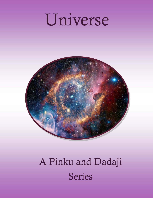# Universe



## A Pinku and Dadaji Series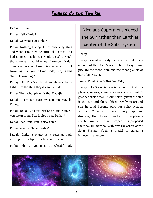#### *Planets do not Twinkle*

Dadaji: Hi Pinku

Pinku: Hello Dadaji

Dadaji: So what's up Pinku?

Pinku: Nothing Dadaji. I was observing stars and wondering how beautiful the sky is. If I had a space machine, I would travel through the space and would enjoy. I wonder Dadaji among other stars I see this star which is not twinkling. Can you tell me Dadaji why is this star not twinkling?

Dadaji: Oh! That's a planet. As planets derive light from the stars they do not twinkle.

Pinku: Then what planet is that Dadaji?

Dadaji: I am not sure my son but may be Venus.

Pinku: Dadaji… Venus circles around Sun. So you mean to say Sun is also a star Dadaji?

Dadaji: Yes Pinku sun is also a star.

Pinku: What is Planet Dadaji?

Dadaji: Pinku a planet is a celestial body moving in an elliptical orbit round a star.

Pinku: What do you mean by celestial body

## Nicolaus Copernicus placed the Sun rather than Earth at center of the Solar system

#### Dadaji?

Dadaji: Celestial body is any natural body outside of the Earth's atmosphere. Easy examples are the moon, sun, and the other planets of our solar system.

Pinku: What is Solar System Dadaji?

Dadaji: The Solar System is made up of all the planets, moons, comets, asteroids, and dust & gas that orbit a star. In our Solar System the star is the sun and those objects revolving around sun in total become part our solar system. Nicolaus Copernicus made a very important discovery that the earth and all of the planets revolve around the sun. Copernicus proposed that the Sun, not the Earth, was the centre of the Solar System. Such a model is called a heliocentric system.

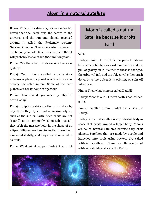#### *Moon is a natural satellite*

Before Copernicus discovery astronomers believed that the Earth was the centre of the universe and the sun and planets revolved around it called the Ptolemaic system/ Geocentric model. The solar system is around 4.6 billion years old. Scientists estimate that it will probably last another 5000 million years.

Pinku: Can there be planets outside the solar system?

Dadaji: Yes … they are called exo-planet or extra-solar planet; a planet which orbits a star outside the solar system. Some of the exoplanets are rocky, some are gaseous

Pinku: Than what do you mean by Elliptical orbit Dadaji?

Dadaji: Elliptical orbits are the paths taken by objects as they fly around a massive object, such as the sun or Earth. Such orbits are not "round" as is commonly supposed; instead, they orbit the massive body in the shape of an ellipse. Ellipses are like circles that have been elongated slightly, and they are also referred to as ovals.

Pinku: What might happen Dadaji if an orbit

## Moon is called a natural Satellite because it orbits Earth

#### fails?

Dadaji: Pinku…An orbit is the perfect balance between a satellite's forward momentum and the pull of gravity on it. If either of these is changed, the orbit will fail, and the object will either crash down onto the object it is orbiting or spin off into space.

Pinku: Then what is moon called Dadaji?

Dadaji: Moon is our… I mean earth's natural satellite.

Pinku: Satellite hmm… what is a satellite Dadaji?

Dadaji: A natural satellite is any celestial body in space that orbits around a larger body. Moons are called natural satellites because they [orbit](http://sciencelearn.org.nz/About-this-site/Glossary/orbit) planets. Satellites that are made by people and launched into orbit using rockets are called artificial satellites. There are thousands of artificial satellites orbiting the Earth.

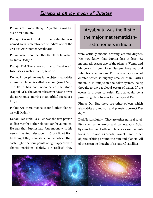#### *Europa is an icy moon of Jupiter*

Pinku: Yes I know Dadaji. Aryabhatta was India's first Satellite.

Dadaji: Correct Pinku… the satellite was named so in remembrance of India's one of the greatest Astronomer Aryabhatta.

Pinku: What were the other Satellites launched by India Dadaji?

Dadaji: Oh! There are so many. Bhaskara I, Insat series such as 1a, 1b, 1c so on.

Do you know pinku any large object that orbits around a [planet](http://sciencelearn.org.nz/About-this-site/Glossary/planet) is called a moon (small 'm'). The Earth has one moon called the Moon (capital 'M'). The Moon takes 27.3 days to orbit the Earth once, moving at an orbital speed of 1 km/s.

Pinku: Are there moons around other planets as well Dadaji?

Dadaji: Yes Pinku…Galileo was the first person to discover that other planets can have moons. He saw that Jupiter had four moons with his newly invented telescope in 1610 AD. At first, he thought they were stars, but he noticed that, each night, the four points of light appeared to change positions slightly. He realised they

## Aryabhata was the first of the major mathematicianastronomers in India

were actually moons orbiting around Jupiter. We now know that Jupiter has at least 64 moons. All except two of the planets (Venus and Mercury) in our [Solar System](http://sciencelearn.org.nz/About-this-site/Glossary/Solar-System) have natural satellites called moons. Europa is an icy moon of Jupiter which is slightly smaller than Earth's moon. It is unique in the solar system, being thought to have a global ocean of water. If the ocean is proven to exist, Europa could be a promising place to look for life beyond Earth.

Pinku: Oh! But there are other objects which also orbits around sun and planets… correct Dadaji?

Dadaji: Absolutely…They are other natural satellites such as Asteroids and comets. Our Solar System has eight official planets as well as millions of minor asteroids, comets and other objects orbiting around the Sun and planets. All of these can be thought of as natural satellites.

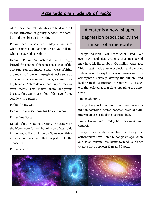## *Asteroids are made up of rocks*

All of these natural satellites are held in orbit by the attraction of [gravity](http://sciencelearn.org.nz/About-this-site/Glossary/gravity) between the satellite and the object it is orbiting.

Pinku: I heard of asteroids Dadaji but not sure what exactly is an asteroid… Can you tell me what an asteroid is Dadaji?

Dadaii: Pinku...An asteroid is a large, irregularly shaped object in space that orbits our Sun. You can imagine giant rocks orbiting around sun. If one of these giant rocks ends up on a collision course with Earth, we are in for big trouble. Asteroids are made up of rock or even metal. This makes them dangerous because they can cause a lot of damage if they collide with a planet.

Pinku: Oh my God.

Dadaji: Do you see those big holes in moon?

Pinku: Yes Dadaji

Dadaji: They are called Craters. The craters on the Moon were formed by collision of asteroids in the moon. Do you know…? Some even think it was an asteroid that wiped out the dinosaurs.

## A crater is a bowl-shaped depression produced by the impact of a meteorite

Dadaji: Yes Pinku. You heard what I said… We even have geological evidence that an asteroid may have hit Earth about 65 million years ago. This impact made a huge explosion and a crater. Debris from the explosion was thrown into the atmosphere, severely altering the climate, and leading to the extinction of roughly 3/4 of species that existed at that time, including the dinosaurs.

Pinku: Oh pity…

Dadaji: Do you know Pinku there are around a million asteroids located between Mars and Jupiter in an area called the "asteroid belt."

Pinku: Do you know Dadaji how they must have formed?

Dadaji: I can barely remember one theory that astronomers have. Some billion years ago, when our solar system was being formed, a planet tried to form between Mars and Jupiter.



#### Pinku: What?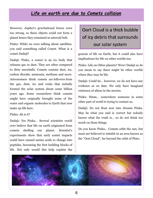## *Life on earth are due to Comets collision*

However, Jupiter's gravitational forces were too strong, so these objects could not form a planet hence they remained as asteroid belt.

Pinku: While we were talking about satellites, you said something called Comet. What is a comet Dadaji?

Dadaji: Pinku, a comet is an icy body that releases gas or dust. They are often compared to dirty snowballs. Comets contain dust, ice, carbon dioxide, ammonia, methane and more. Astronomers think comets are leftovers from the gas, dust, ice and rocks that initially formed the solar system about some billion years ago. Some researchers think comets might have originally brought some of the water and organic molecules to Earth that now make up life here.

#### Pinku: Ah is it?

Dadaji: Yes Pinku… Several scientists world over believe that life on earth originated from comets shelling our planet. Scientist's experiments show that early comet impacts could have caused amino acids to change into peptides, becoming the first building blocks of life. Not only would this help explain the

## Oort Cloud is a thick bubble of icy debris that surrounds our solar system

genesis of life on Earth, but it could also have implications for life on other worlds too.

Pinku: Life on Other planets? Wow! Dadaji so do you mean to say there might be other worlds where they may be life.

Dadaji: Could be… however, we do not have any evidence as on date. We only have imagined existence of aliens in the movies.

Pinku: Hmm… somewhere someone in some other part of world is trying to contact us.

Dadaji: Do not float now into dreams Pinku. May be what you said is correct but nobody knows what the truth is… so do not think too much on these things.

Do you know Pinku… Comets orbit the sun, but most are believed to inhabit in an area known as the ["Oort Cloud",](http://www.space.com/16401-oort-cloud-the-outer-solar-system-s-icy-shell.htmlhttp:/www.space.com/53-comets-formation-discovery-and-exploration.html) far beyond the orbit of Pluto.

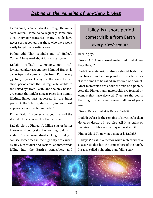## *Debris is the remains of anything broken*

Occasionally a comet streaks through the inner solar system; some do so regularly, some only once every few centuries. Many people have never seen a comet, but those who have won't easily forget the celestial show.

Pinku: Ah! That reminds me of Halley's Comet. I have read about it in my textbook.

Dadaji: Halley's Comet or Comet Halley named after astronomer [Edmond Halley,](https://en.wikipedia.org/wiki/Edmond_Halley) is a short-[period comet](https://en.wikipedia.org/wiki/List_of_periodic_comets) visible from [Earth](https://en.wikipedia.org/wiki/Earth) every 75 to 76 years. Halley is the only known short-period [comet](https://en.wikipedia.org/wiki/Comet) that is regularly visible to the [naked eye](https://en.wikipedia.org/wiki/Naked_eye) from Earth, and the only nakedeye comet that might appear twice in a human lifetime. Halley last appeared in the inner parts of the [Solar System](https://en.wikipedia.org/wiki/Solar_System) in 1986 and next appearance is expected in mid-2061.

Pinku: Dadaji I wonder what you than call the star which falls on earth is that a comet?

Dadaji: No no Pinku… A falling star or better known as shooting star has nothing to do with a star. The amazing streaks of light that you can see sometimes in the night sky are caused by tiny bits of dust and rock called meteoroids falling into the Earth's atmosphere and

Halley, is a short-period comet visible from Earth every 75–76 years

burning up.

Pinku: Ah! A new word meteoroid… what are they Dadaji?

Dadaji: A meteoroid is also a celestial body that revolves around sun or planets. It is called so as it is too small to be called an asteroid or a comet. Most meteoroids are about the size of a pebble. Actually Pinku, many meteoroids are formed by comets that have decayed. They are the debris that might have formed several billions of years ago.

Pinku: Debris… what is Debris Dadaji?

Dadaji: Debris is the remains of anything broken down or destroyed you also call it as ruins or remains or rubble as you may understand it.

Pinku: Oh…! Than what a meteor is Dadaji?

Dadaji: We call it a meteor when meteoroid or a space rock that hits the atmosphere of the Earth. It's also called a shooting star/falling star.

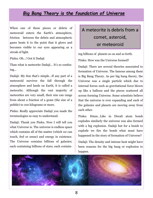#### *Big Bang Theory is the foundation of Universe*

When one of these pieces or debris of meteoroid enters the Earth's atmosphere, friction between the debris and atmospheric gases heats it to the point that it glows and becomes visible to our eyes appearing as a streak of light.

Pinku: Oh...! Got it Dadaji

Than what is meteorite Dadaji... It's so confusing...

Dadaji: My Son that's simple…If any part of a meteoroid survives the fall through the atmosphere and lands on Earth, it is called a meteorite. Although the vast majority of meteorites are very small, their size can range from about a fraction of a gram (the size of a pebble) to 100 kilograms or more.

Pinku: Really appreciate Dadaji you made the terminologies so easy to understand.

Dadaji: Thank you Pinku. Now I will tell you what Universe is. The universe is endless space which contains all of the matter (which we can touch, feel or sense) and energy in existence. The Universe contains billions of galaxies; each containing billions of stars; each contain-

## A meteorite is debris from a comet, asteroid, or meteoroid

ing billions of planets so on and so forth.

Pinku: How was the Universe formed?

Dadaji: There are several theories associated to formation of Universe. The famous among them is Big Bang Theory. As per big bang theory, the Universe was a single particle which due to internal forces such as gravitational force blown up like a balloon and the pieces scattered all across forming Universe. Some scientists believe that the universe is ever expanding and each of the galaxies and planets are moving away from each other.

Pinku: Hmm…Like in Diwali atom bomb explodes similarly the universe was also formed with a big explosion. Dadaji but for a bomb to explode we fire the bomb what must have happened in the story of formation of Universe?

Dadaji: The density and intense heat might have been reasons for the big bang or explosion to happen.

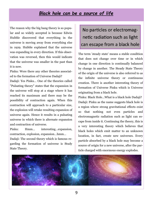#### *Black hole can be a source of life*

The reason why the big bang theory is so popular and so widely accepted is because Edwin Hubble discovered that everything in the universe is moving away from everything else in 1929. Hubble explained that the universe was expanding in every direction. If this observation was reversed, then this would indicate that the universe was smaller in the past than it is now.

Pinku: Were there any other theories associated to the formation of Universe Dadaji?

Dadaji: Yes Pinku… One of the theories called "Pulsating theory" states that the expansion in the universe will stop at a stage where it has reached its maximum and there may be the possibility of contraction again. When this contraction will approach to a particular size, the explosion will retake resulting expansion of universe again. Hence it results in a pulsating universe in which there is alternate expansion and contraction of universe.

Pinku: Hmm… interesting…expansion, contraction, explosion, expansion…hmm…

Dadaji: The second theory which is famous regarding the formation of universe is Study State Theory.

## No particles or electromagnetic radiation such as light can escape from a black hole

The term 'steady state' means a stable condition that does not change over time or in which change in one direction is continually balanced by change in another. The Steady State Theory of the origin of the universe is also referred to as the infinite universe theory or continuous creation. There is another interesting theory of formation of Universe Pinku which is Universe originating from a black hole.

Pinku: Black Hole...What is a black hole Dadaji? Dadaji: Pinku as the name suggests black hole is a region where strong gravitational effects exist so that nothing not even particles and electromagnetic radiation such as light can escape from inside it. Continuing the theory, this is a very interesting theory which believes that black holes which emit matter to an unknown location, in fact, create new universes. Every particle absorbed by a black hole may become a source of origin for a new universe, after the particle charged with enormous energy explodes.

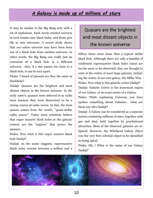## *A Galaxy is made up of millions of stars*

It may be similar to the Big Bang only with a lot of explosions. Each newly-created universe in turn creates new black holes, and those give life to new universes. A recent study shows that our entire universe may have been born out of a black hole from another universe. In other words, the Big Bang was really just an extension of a black hole in a different universe. Also, if a star passes too close to a black hole, it can be torn apart.

Pinku: I heard of Quasars are they the same as blackhole?

Dadaji: Quasars are the brightest and most distant objects in the known universe. In the early 1960's, quasars were referred to as radio stars because they were discovered to be a strong source of radio waves. In fact, the term quasar comes from the words, "quasi-stellar radio source". Today most scientists believe that super massive black holes at the galactic centres are the "engines" that power the quasars.

Pinku: Now what is this super massive black hole Dadaji?

Dadaji: As the name suggests, supermassive black holes contain between a million and a

## Quasars are the brightest and most distant objects in the known universe

billion times more mass than a typical stellar black hole. Although there are only a handful of confirmed supermassive black holes (most are too far away to be observed), they are thought to exist at the centre of most large galaxies, including the centre of our own galaxy, the Milky Way. Pinku: Now what is this galactic centre Dadaji? Dadaji: Galactic Centre is the innermost region of our Galaxy, or its exact centre of a Galaxy. Pinku: While explaining Universe, you have

spoken something about Galaxies… what are these any idea Dadaji?

Dadaji: A Galaxy can be considered as a separate system consisting millions of stars, together with gas and dust, held together by gravitational attraction. Most of the observed galaxies are elliptical. However, the Whirlpool Galaxy (M51) was the very first celestial object to be identified as being spiral.

Pinku: Oh…! What is the name of our Galaxy Dadaji?

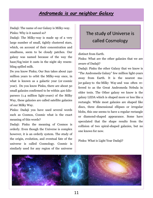#### *Andromeda is our neighbor Galaxy*

Dadaji: The name of our Galaxy is Milky-way. Pinku: Why is it named so?

Dadaji: The Milky-way is made up of a very large number of small, tightly clustered stars, which, on account of their concentration and smallness, seem to be cloudy patches. Our galaxy was named because of the way the haze/fog/mist it casts in the night sky resembling spilled milk.

Do you know Pinku; Our Sun takes about 240 million years to orbit the Milky-way once, in what is known as a galactic year (or [cosmic](http://www.universetoday.com/23870/the-milky-ways-rotation/)  [year\).](http://www.universetoday.com/23870/the-milky-ways-rotation/) Do you know Pinku, there are about 50 small galaxies confirmed to be within 420 kiloparsecs (1.4 million light-years) of the Milky Way, these galaxies are called satellite galaxies of our Milky Way.

Pinku: Dadaji you have used several words such as Cosmos, Cosmic what is the exact meaning of this words?

Dadaji: Pinku the meaning of Cosmos is orderly. Even though the Universe is complex however, it is an orderly system. The study of the origin, evolution, and eventual fate of the universe is called Cosmology. Cosmic is similarly used for any region of the universe

## The study of Universe is called Cosmology

distinct from Earth.

Pinku: What are the other galaxies that we are aware of Dadaji?

Dadaji: Pinku the other Galaxy that we know is "The Andromeda Galaxy" few million light-years away from Earth. It is the nearest major galaxy to the Milky Way and was often referred to as the Great Andromeda Nebula in older texts. The Other galaxy we know is the galaxy LEDA which is shaped more or less like a rectangle. While most galaxies are shaped like discs, three dimensional ellipses or irregular blobs, this one seems to have a regular rectangle or diamond-shaped appearance. Some have speculated that the shape results from the collision of two spiral-shaped galaxies, but no one knows for now.

Pinku: What is Light Year Dadaji?

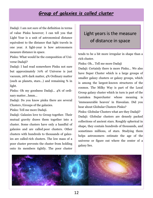## *Group of galaxies is called cluster*

Dadaji: I am not sure of the definition in terms of value Pinku however; I can tell you that Light Year is a unit of astronomical distance equivalent to the distance that light travels in one year. A light-year is how astronomers measure distance in space.

Pinku: What would be the composition of Universe Dadaji?

Dadaji: I had read somewhere Pinku not sure but approximately 70% of Universe is just vacuum, 26% dark matter, 4% Ordinary matter (such as planets, stars…) and remaining % in light.

Pinku: Oh my goodness Dadaji… 4% of ordinary matter…hmm…

Dadaji: Do you know pinku there are several Clusters /Groups of the galaxies.

Pinku: Tell me more Dadaji.

Dadaji: Galaxies love to Group together. Their mutual gravity draws them together into a cluster. Some clusters have only a handful of galaxies and are called poor clusters. Other clusters with hundreds to thousands of galaxies are called rich clusters. The low mass of a poor cluster prevents the cluster from holding onto its members tightly. The poor cluster

## Light years is the measure of distance in space

tends to be a bit more irregular in shape than a rich cluster.

Pinku: Oh... Tell me more Dadaji

Dadaji: Certainly there is more Pinku… We also have Super Cluster which is a large groups of smaller galaxy clusters or galaxy groups, which is among the largest-known structures of the cosmos. The Milky Way is part of the Local Group galaxy cluster which in turn is part of the Laniakea Supercluster whose meaning is 'immeasurable heaven' in Hawaiian. Did you hear about Globular Clusters Pinku?

Pinku: Globular Clusters what are they Dadaji? Dadaji: Globular clusters are densely packed collections of ancient stars. Roughly spherical in shape, they contain hundreds of thousands, and sometimes millions, of stars. Studying them helps astronomers estimate the age of the universe or figure out where the center of a galaxy lies.

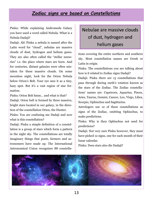## *Zodiac signs are based on Constellations*

Pinku: While explaining Andromeda Galaxy you have used a word called Nebula. What is a Nebula Dadaji?

Dadaji: Ah! Pinku a nebula is named after the Latin word for "cloud", nebulae are massive clouds of dust, hydrogen and helium gases. They are also often called the "stellar nurseries" i.e. the place where stars are born. And for centuries, distant galaxies were often mistaken for these massive clouds. On some moonless night, look for the Orion Nebula below Orion's Belt. Your eye sees it as a tiny, hazy spot. But it's a vast region of star formation.

Pinku: Orion Belt hmm… and what is that? Dadaji: Orion belt is formed by three massive, bright stars located in our galaxy, in the direction of the constellation Orion, the Hunter.

Pinku: You are confusing me Dadaji and now what is this constellation?

Dadaji: Pinku a simple definition of a constellation is a group of stars which form a pattern in the night sky. The constellations are totally imaginary things that poets, farmers and astronomers have made up. The International Astronomical Union recognizes 88 constella-

## Nebulae are massive clouds of dust, hydrogen and helium gases

tions covering the entire northern and southern sky. Most constellation names are Greek or Latin in origin.

Pinku: The constellations you are talking about how is it related to Zodiac signs Dadaji?

Dadaji: Pinku there are 13 constellations that pass through during earth's rotation known as the stars of the Zodiac. The Zodiac constellations' names are: Capricorn, Aquarius, Pisces, Aries, Taurus, Gemini, Cancer, Leo, Virgo, Libra, Scorpio, Ophiuchus and Sagittarius.

Astrologers use 12 of these constellations as signs of the Zodiac, omitting Ophiuchus, to make predictions.

Pinku: Why is then Ophiuchus not used for predictions?

Dadaji: Not very sure Pinku however, they must have picked 12 signs, one for each month of their lunar calendar.

Pinku: Does stars also die Dadaji?

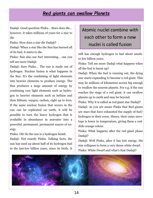#### *Red giants can swallow Planets*

Dadaji: Good question Pinku… Stars does die… however, it takes millions of years for a star to die.

Pinku: How does a star die Dadaji?

Dadaji: When a star like the Sun has burned all of its fuel, it starts to die.

Pinku: Sun also use fuel interesting… can you tell me more Dadaji:

Dadaji: Sure Pinku… The sun is made out of hydrogen. Nuclear fusion is what happens in the Sun. It's the combining of light elements into heavier elements to produce energy. The Sun produces a large amount of energy by combining very light elements such as hydrogen to heavier elements such as helium and then lithium, oxygen, carbon, right up to iron. If the same nuclear fusion that occurs in the sun can be replicated on earth, it will be possible to turn the heavy hydrogen that is available in abundance in seawater into a powerful, permanent, permanent source of energy.

Pinku: Oh! So the sun is a hydrogen bomb.

Dadaji: Not exactly Pinku. Talking facts; the sun has used up about half of its hydrogen fuel in the last few billion years, since its birth. It

## Atomic nuclei combine with each other to form a new nuclei is called fusion

still has enough hydrogen to last about another few billion years.

Pinku: Tell me more Dadaji what happens when all the fuel is burnt up?

Dadaji: When the fuel is running out, the dying star starts expanding to become a red giant. This may be millions of kilometres across big enough to swallow the nearest planets. For e.g. if the sun reaches the stage of a red giant, it can swallow planets up to earth and may be beyond.

Pinku: Why it is called as red giant star Dadaji? Dadaji: As you are aware Pinku that Red giants are stars that have exhausted the supply of fuel/ hydrogen in their cores. Hence, their outer envelope is lower in temperature, giving them a reddish-orange colour.

Pinku: What happens after the red giant phase Dadaji?

Dadaji: Well Pinku, after it has lost energy, the star collapses to form a very dense white dwarf. Pinku: White Dwarf and what's that Dadaji?

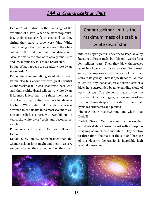## *144 is Chandrasekhar limit*

Dadaji: A white dwarf is the final stage of the evolution of a star. When the stars stop burning, their mass shrink in size and as they shrink they start to grow very faint. White dwarf stars got their name because of the white colour of the first few that were discovered. Also, as this is the star of relatively small size and low luminosity it is called Dwarf star.

Pinku: What happens to star after white dwarf stage Dadaji?

Dadaji: Since we are talking about white dwarf, let me also talk about our own great scientist Chandrasekhar ji. It was Chandrasekharji who said that a white dwarf will stay a white dwarf if its mass is less than 1.44 times the mass of Sun. Hence, 1.44 is also called as Chandrasekhar limit. While a star that exceeds this mass is destined to end its life in its most violent of explosions called a supernova. Over billions of years, the white dwarf cools and becomes invisible.

Pinku: A supernova wow! Can you tell more Dadaji…

Dadaji: Sure, Pinku… Stars heavier than the Chandrasekhar limit might end their lives very suddenly. When they run out of fuel, they swell

## Chandrasekhar limit is the maximum mass of a stable white dwarf star

into red super-giants. They try to keep alive by burning different fuels, but this only works for a few million years. Then they blow themselves apart in a huge supernova explosion. For a week or so, the supernova outshines all of the other stars in its galaxy. Then it quickly fades. All that is left is a tiny, dense object a neutron star or a black hole surrounded by an expanding cloud of very hot gas. The elements made inside the supergiant (such as oxygen, carbon and iron) are scattered through space. This stardust eventually makes other stars and planets.

Pinku: A neutron star…hmm… and what's that Dadaji?

Dadaji: Pinku… Neutron stars are the smallest and densest stars known to exist with a teaspoon weighing as much as a mountain. They are two to three times the mass of the sun and because of this density, the gravity is incredibly high around these stars.

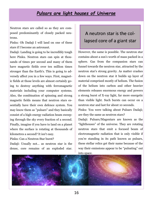#### *Pulsars are light houses of Universe*

Neutron stars are called so as they are composed predominantly of closely packed neutrons.

Pinku: Oh Dadaji I will land on one of these stars if I become an astronaut.

Dadaji: Landing is going to be incredibly tough here Pinku. Neutron stars can spin at thousands of times per second and many of them have magnetic fields over ten million times stronger than the Earth's. This is going to adversely affect you in a few ways. First, magnetic fields at those levels are almost certainly going to destroy anything with ferromagnetic materials including your computer systems. Also, the combination of spinning and strong magnetic fields means that neutron stars essentially have their own defence system. You may know them as "pulsars" and they basically consist of a high-energy radiation beam sweeping through the sky every fraction of a second. Finally, imagine if you have to land on a planet where the surface is rotating at thousands of kilometres a second? It isn't easy.

Pinku: Can a Neutron Star burst?

Dadaji: Usually not… as neutron star is the dense, core remains of an exploded star.

## A neutron star is the collapsed core of a giant star

However, the same is possible. The neutron star contains about a sun's worth of mass packed in a sphere. Gas from the companion stars can funnel towards the neutron star, attracted by the neutron star's strong gravity. As matter crashes down on the neutron star it builds up layer of material comprised mostly of helium. The fusion of the helium into carbon and other heavier elements releases enormous energy and powers a strong burst of X-ray light, far more energetic than visible light. Such bursts can occur on a neutron star and last for about 10 seconds.

Pinku: You were talking about Pulsars Dadaji; are they the same as neutron stars?

Dadaji: Pulsars/Magentars are known as the "lighthouses" of the universe. They are rotating neutron stars that emit a focused beam of electromagnetic radiation that is only visible if you're standing in its path known as pulsars, these stellar relics get their name because of the way their emissions appear to be "pulsating" out into space.

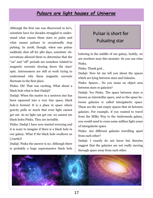### *Pulsars are light houses of Universe*

Although the first one was discovered in 60's, scientists have for decades struggled to understand what causes these stars to pulse and what causes pulsars to occasionally stop pulsing. In 2008, though, when one pulsar suddenly shut off for 580 days, scientists' observations allowed them to determine that the "on" and "off" periods are somehow related to magnetic currents slowing down the stars' spin. Astronomers are still at work trying to understand why these magnetic currents fluctuate in the first place.

Pinku: Oh! That was exciting. What about a black hole what is that Dadaji?

Dadaji: When the matter in a neutron star has been squeezed into a very tiny space, black hole is formed. It is a place in space where gravity pulls so much that even light cannot get out. As no light can get out, we cannot see black holes Pinku. They are invisible.

Pinku: Dadaji I have now started worrying and it is scary to imagine if there is a black hole in our galaxy. What if the black hole swallows us (/earth)?

Dadaji: Pinku the answer is no. Although there is probably a huge supermassive black hole

## Pulsar is short for Pulsating star

loitering in the middle of our galaxy, luckily, we are nowhere near this monster. So you can relax Pinku.

Pinku: Thank god…

Dadaji: Now let me tell you about the spaces which are lying between stars and Galaxies.

Pinku: Spaces… Do you mean no object area between stars or galaxies?

Dadaji: Yes Pinku. The space between stars is known as interstellar space, and so the space between galaxies is called intergalactic space. These are the vast empty spaces that sit between galaxies. For example, if you wanted to travel from the Milky Way to the Andromeda galaxy, you would need to cross some million light-years of intergalactic space.

Pinku: Are different galaxies travelling apart from each other?

Dadaji: I exactly do not know but theories suggest that the galaxies are not really moving through space away from each other.

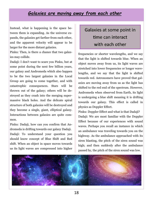## *Galaxies are moving away from each other*

Instead, what is happening is the space between them is expanding. As the universe expands, the galaxies get farther from each other, and the apparent velocity will appear to be larger for the more distant galaxies.

Pinku: Then, is there a chance that two galaxies may collide.

Dadaji: I don't want to scare you Pinku, but at some point during the next few billion years, our galaxy and Andromeda which also happen to be the two largest galaxies in the Local Group are going to come together, and with catastrophic consequences. Stars will be thrown out of the galaxy; others will be destroyed as they crash into the merging supermassive black holes. And the delicate spiral structure of both galaxies will be destroyed and they become a single, giant, elliptical galaxy. Interactions between galaxies are quite common.

Pinku: Dadaji, how can you confirm that Andromeda is drifting towards our galaxy Dadaji. Dadaji: To understand your question you should know concept of Blue Shift and Red shift. When an object in space moves towards us its light waves are compressed into higher

## Galaxies at some point in time can interact with each other

frequencies or shorter wavelengths, and we say that the light is shifted towards blue. When an object moves away from us, its light waves are stretched into lower frequencies or longer wavelengths, and we say that the light is shifted towards red. Astronomers have proved that galaxies are moving away from us as the light has shifted to the red end of the spectrum. However, Andromeda when observed from Earth, its light is undergoing a blue shift meaning it is drifting towards our galaxy. This effect is called in physics as Doppler Effect.

Pinku: Doppler Effect and what is that Dadaji? Dadaji: We are most familiar with the Doppler Effect because of our experiences with sound waves. Perhaps you recall an instance in which an ambulance was traveling towards you on the highway. As the ambulance approached with its siren blasting, the pitch of the siren sound was high; and then suddenly after the ambulance passed by, the pitch of the siren sound was low.

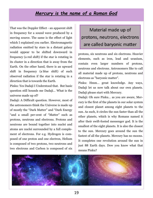### *Mercury is the name of a Roman God*

That was the Doppler Effect - an apparent shift in frequency for a sound wave produced by a moving source. The same is the effect of light which I explained you earlier. Electromagnetic radiation emitted by stars in a distant galaxy would appear to be shifted downward in frequency (a red shift) if the star is rotating in its cluster in a direction that is away from the Earth. On the other hand, there is an upward shift in frequency (a blue shift) of such observed radiation if the star is rotating in a direction that is towards the Earth.

Pinku: Yes Dadaji I Understood that. But basic question still hounds me Dadaji… What is the universe made up of?

Dadaji: A Difficult question. However, most of the astronomers think the Universe is made up of mostly the "Dark Matter" and "Dark Energy "and a small per-cent of "Matter" such as protons, neutrons and electrons. Protons and neutrons are bound together into nuclei and atoms are nuclei surrounded by a full complement of electrons. For e.g. Hydrogen is composed of one proton and one electron, Helium is composed of two protons, two neutrons and two electrons and Carbon is composed of six

Material made up of protons, neutrons, electrons are called baryonic matter

protons, six neutrons and six electrons. Heavier elements, such as iron, lead and uranium, contain even larger numbers of protons, neutrons and electrons. Astronomers like to call all material made up of protons, neutrons and electrons as "baryonic matter".

Pinku: Hmm… great knowledge. Any ways, Dadaji let us now talk about our own planets. Dadaji please start with Mercury.

Dadaji: Oh sure Pinku… as you are aware, Mercury is the first of the planets in our solar system and closest planet among eight planets to the sun. As such, it circles the sun faster than all the other planets, which is why Romans named it after their swift-footed messenger god. It is the smallest of the eight planets. It is also the closest to the sun. Mercury goes around the sun the fastest of all the planets. Mercury has no moons. It completes one revolution around the sun in just 88 Earth days. Dow you know what that means Pinku?

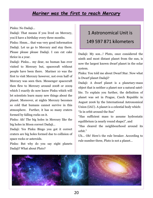#### *Mariner was the first to reach Mercury*

Pinku: No Dadaji...

Dadaji: That means if you lived on Mercury, you'd have a birthday every three months.

Pinku: Hmm… that was very good information Dadaji. Let us go to Mercury and stay there. Please please please Dadaji. I can cut cake thrice in a year.

Dadaji: Pinku… my dear, no human has ever visited to Mercury but, spacecraft without people have been there. Mariner 10 was the first to visit Mercury however, not even half of Mercury was seen then. Messenger spacecraft then flew to Mercury around 2008 or 2009 which I exactly do now know Pinku which will let scientists learn many new things about the planet. Moreover, at nights Mercury becomes so cold that humans cannot survive in this atmosphere. Further, it has so many craters formed by falling rocks on it.

Pinku: Ah! The big holes in Mercury like the big holes in Moon correct Dadaji…

Dadaji: Yes Pinku Bingo you got it correct craters are big holes formed due to collision of space rocks or asteroids.

Pinku: But why do you say eight planets Dadaji? What about Pluto?

## 1 Astronomical Unit is 149 597 871 kilometers

Dadaji: My son…! Pluto, once considered the ninth and most distant planet from the sun, is now the largest known dwarf planet in the solar system.

Pinku: You told me about Dwarf Star. Now what is Dwarf planet Dadaji?

Dadaji: A dwarf planet is a planetary-mass object that is neither a planet nor a natural satellite. To explain you further, the definition of planet was set in Prague, Czech Republic in August 2006 by the International Astronomical Union (IAU). A planet is a celestial body which: "Is in orbit around the Sun"

"Has sufficient mass to assume hydrostatic equilibrium (a nearly round shape)", and

"Has cleared the neighbourhood around its orbit."

Uh... Oh! Here's the rule breaker. According to rule number three, Pluto is not a planet…

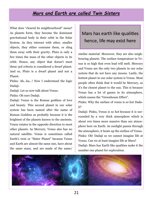#### *Mars and Earth are called Twin Sisters*

What does "cleared its neighbourhood" mean? As planets form, they become the dominant gravitational body in their orbit in the Solar System. As they interact with other, smaller objects, they either consume them, or sling them away with their gravity. Pluto is only a few times the mass of the other objects in its orbit. Hence, any object that doesn't meet these 3rd criteria is considered a dwarf planet. And so, Pluto is a dwarf planet and not a Planet.

Pinku: Ah...ha...! Now I understand the logic Dadaji.

Dadaji: Let us now talk about Venus.

Pinku: Oh sure Dadaji.

Dadaji: Venus is the Roman goddess of love and beauty. This second planet in our solar system has been named after the name of Roman Goddess as probably because it is the brightest of the planets known to the ancients. Venus rotates in the opposite direction to most other planets. As Mercury, Venus also has no natural satellite. Venus is sometimes called Earth's twin or "Sister Planet" because Venus and Earth are almost the same size, have about the same mass, and are made of the same/

## Mars has earth like qualities hence, life may exist here

similar material. Moreover, they are also neighbouring planets. The surface temperature in Venus is so high that even lead will melt. Mercury and Venus are the only two planets in our solar system that do not have any moons. Lastly, the hottest planet in our solar system is Venus. Most people often think that it would be Mercury, as it's the closest planet to the sun. This is because Venus has a lot of gasses in its atmosphere, which causes the "Greenhouse Effect".

Pinku: Why the surface of venus is so hot Dadaji?

Dadaji: Pinku, Venus is so hot because it is surrounded by a very thick atmosphere which is about 100 times more massive than our atmosphere here on Earth. As sunlight passes through the atmosphere, it heats up the surface of Venus. Pinku: Oh! Dadaji so we cannot imagine life at Venus. Can we at least imagine life at Mars? Dadaji: Mars has Earth like qualities make it the number one planet for exploration.

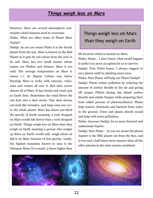#### *Things weigh less on Mars*

However, there are several atmospheric constraints which humans need to overcome.

Pinku: What are other traits of Planet Mars Dadaji?

Dadaji: As you are aware Pinku it is the fourth planet from the sun. Mars is known as the Red Planet as it gets its red colour from the iron in its soil. Mars has two small moons whose names are Phobos and Deimos. Mars is too cold. The average temperature on Mars is minus (-) 26 Degree Celsius way below freezing. Mars is rocky with canyons, volcanoes and craters all over it. Red dust covers almost all of Mars. It has clouds and wind, just as Earth does. Sometimes the wind blows the red dust into a dust storm. Tiny dust storms can look like tornados, and large ones can cover the whole planet. Mars has about one-third the gravity of Earth meaning, a rock dropped on Mars would fall slower than a rock dropped on Earth. Things weigh less on Mars than they weigh on Earth meaning a person who weighs 45 Kilos on Earth would only weigh about 16 Kilo's on Mars because of less gravity. Lastly, the highest mountain known to man is the Olympus Mons (it is nearly 3 times higher than

## Things weigh less on Mars than they weigh on Earth

Mt Everest) which is located on [Mars.](http://www.thefactsite.com/2011/05/55-fascinating-facts-about-mars.html) Pinku: Hmm… I don't know what would happen if earth is no more an option for us to survive. Dadaji: True Pinku hence, I always suggest to save planet earth by planting more trees. Pinku: How Plants will help our Planet Dadaji? Dadaji: Plants reduce pollution by reducing the amount of carbon dioxide in the air and giving off oxygen (Plants during day inhale carbon dioxide and exhale Oxygen while preparing their food called process of photosynthesis), Plants help remove chemicals and bacteria from water in the ground. Trees and plants absorb sound and help with noise pollutions.

Pinku: Anyways Dadaji, let us move forward and understand Jupiter.

Dadaji: Sure Pinku… As you are aware the planet Jupiter is the fifth planet out from the Sun, and is two and a half times more massive than all the other planets in the solar system combined.

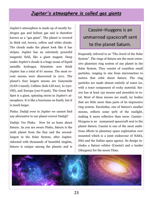## *Jupiter's atmosphere is called gas giants*

Jupiter's atmosphere is made up of mostly hydrogen gas and helium gas and is therefore known as a "gas giant". The planet is covered in thick red, brown, yellow and white clouds. The clouds make the planet look like it has stripes. Jupiter has an extremely powerful magnetic field, like a giant magnet. Deep under Jupiter's clouds is a huge ocean of liquid metallic hydrogen. Scientists now think Jupiter has a total of 67 moons. The most recent moons were discovered in 2011. The planet's four largest moons are Ganymede (GAN-i-meed), Callisto (kuh-LIS-toe), Io (eye-OH), and Europa (yur-O-puh). The Great Red Spot is a giant, spinning storm in Jupiter's atmosphere. It is like a hurricane on Earth, but it is much larger.

Pinku: Dadaji even in Jupiter we cannot find any alternative to our planet correct Dadaji?

Dadaji: Yes Pinku. Now let us learn about Saturn. As you are aware Pinku, Saturn is the sixth planet from the Sun and the secondlargest in the Solar System, after Jupiter. Adorned with thousands of beautiful ringlets, Saturn is unique among the planets and is

## Cassini–Huygens is an unmanned spacecraft sent to the planet Saturn.

frequently referred to as "The Jewel of the Solar System". The rings of Saturn are the most extensive planetary ring system of any planet in the Solar System. They consist of countless small particles, ranging in size from micrometres to metres that orbit about Saturn. The ring particles are made almost entirely of water ice, with a trace component of rocky material. Saturn has at least 150 moons and moonlets in total. Most of these moons are small, icy bodies that are little more than parts of its impressive ring system. Enceladus, one of Saturn's smaller moons, reflects some 90% of the sunlight, making it more reflective than snow. Cassini– Huygens is an unmanned spacecraft sent to the planet Saturn. Cassini is one of the most ambitious efforts in planetary space exploration ever mounted which is a joint endeavour of NASA, ESA and the Italian space agency. Its design includes a Saturn orbiter (Cassini) and a lander (Huygens) for the moon Titan.

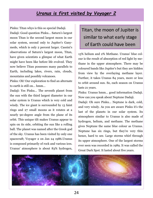#### *Uranus is first visited by Voyager 2*

Pinku: Titan whys is this so special Dadaji. Dadaji: Good question Pinku... Saturn's largest moon Titan is the second largest moon in our solar system, second only to Jupiter's Ganymede, which is only 2 percent larger. Cassini's observations of Saturn's largest moon, Titan, have given scientists a glimpse of what Earth might have been like before life evolved. They now believe Titan possesses many parallels to Earth, including lakes, rivers, rain, clouds, mountains and possibly volcanoes.

Pinku: Oh! Our exploration to find an alternate to earth is still on… hmm…

Dadaji: Yes Pinku… The seventh planet from the sun with the third largest diameter in our solar system is Uranus which is very cold and windy. The ice giant is surrounded by 13 faint rings and 27 small moons as it rotates at a nearly 90-degree angle from the plane of its orbit. This unique tilt makes Uranus appear to spin on its side, orbiting the sun like a rolling ball. The planet was named after the Greek god of the sky. Uranus has been visited by only one spacecraft; Voyager 2 on Jan 24 1986.Uranus is composed primarily of rock and various ices. Uranus' atmosphere is about 83% hydrogen,

## Titan, the moon of Jupiter is similar to what early stage of Earth could have been

15% helium and 2% Methane. Uranus' blue colour is the result of absorption of red light by methane in the upper atmosphere. There may be coloured bands like Jupiter's but they are hidden from view by the overlaying methane layer. Further, it takes Uranus 84 years, more or less to orbit around sun. So, each season on Uranus lasts 21 years.

Pinku: Uranus hmm… good information Dadaji. Now can you speak about Neptune Dadaji.

Dadaji: Oh sure Pinku… Neptune is dark, cold, and very windy. As you are aware Pinku it's the last of the planets in our solar system. Its atmosphere similar to Uranus is also made of hydrogen, helium, and methane. The methane gives Neptune the same blue colour as Uranus. Neptune has six rings, but they're very thin hence, hard to see. Large storms whirl through its upper atmosphere. One of the largest storms ever seen was recorded in 1989. It was called the Great Dark Spot. It lasted about five years.

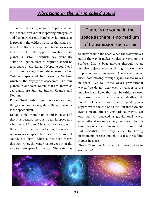#### *Vibrations in the air is called sound*

The most interesting moon of Neptune is Triton, a frozen world that is spewing nitrogen ice and dust particles out from below its surface. It is probably the coldest world in the solar system. Also, the only large moon in our solar system to orbit in the opposite direction of its planet is Triton. Scientists say eventually Triton will get so close to Neptune, it will be torn apart by gravity, and Neptune could end up with more rings than Saturn currently has. Only one spacecraft has flown by Neptune which is the Voyager 2 spacecraft. The four planets in our solar system that are known as gas giants are Jupiter, Saturn, Uranus, and Neptune.

Pinku: Great Dadaji… you have said so many things about our solar system. Dadaji I wonder is the space silent?

Dadaji: Pinku there is no sound in space and that it is because there is no air in space and what we call "sound" is actually vibrations in the air. Now, there are indeed light waves and radio waves in space, but these waves are not sound, but light. When a big boat moves through water, the water has to get out of the way to make space for the boat. The water has

## There is no sound in the space as there is no medium of transmission such as air

to curve around the boat! When the water moves out of the way, it makes ripples or waves on the surface. Like a boat moving through water, massive objects moving through space make ripples or waves in space. A massive star or black hole moving through space causes waves in space. We call these waves gravitational waves. We do not hear even a whisper of the massive black holes that may be orbiting closer and closer to each other in a violent death spiral. We do not hear a massive star exploding in a supernova at the end of its life. But these violent events create intense gravitational waves. No one has yet detected a gravitational wave. Gravitational waves are very, very weak by the time they reach us from some far distant event. But scientists are very close to having instruments precise enough to sense these faint ripples in space.

Pinku: Then how Astronauts in space do talk to each other?

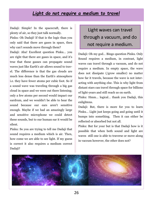#### *Light do not require a medium to travel*

Dadaji: Simple! In the spacecraft, there is plenty of air, so they just talk normally.

Pinku: Oh Dadaji! If that is the logic than you only said that there are gases in space, then why can't sounds move through them?

Dadaji: Aha! Excellent question Pinku… you are right that there are gases in space, and it's true that these gasses can propagate sound waves just like Earth's air allows sound to travel. The difference is that the gas clouds are much less dense than the Earth's atmosphere i.e. they have fewer atoms per cubic foot. So if a sound wave was traveling through a big gas cloud in space and we were out there listening; only a few atoms per second would impact our eardrum, and we wouldn't be able to hear the sound because our ears aren't sensitive enough. Maybe if we had an amazingly large and sensitive microphone we could detect these sounds, but to our human ear it would be silent.

Pinku: So you are trying to tell me Dadaji that sound requires a medium which is air. Then, how come we are able to see light. If my guess is correct it also requires a medium correct Dadaji?

Light waves can travel through a vacuum, and do not require a medium.

Dadaji: Oh my god… Bingo question Pinku. Only Sound requires a medium, in contrast, light waves can travel through a vacuum, and do not require a medium. In empty space, the wave does not dissipate (/grow smaller) no matter how far it travels, because the wave is not interacting with anything else. This is why light from distant stars can travel through space for billions of light-years and still reach us on earth.

Pinku: Hmm… logical… thank you Dadaji, this enlightens.

Dadaji: But, there is more for you to learn Pinku… Light just keeps going and going until it bumps into something. Then it can either be reflected or absorbed but not all.

Pinku: But for your but is that Dadaji how is it possible that when both sound and light are waves still one is able to traverse or move along in vaccum however, the other does not?

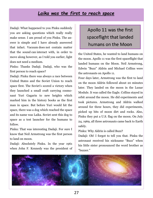#### *Laika was the first to reach space*

Dadaji: What happened to you Pinku suddenly you are asking questions which really really make sense. I am proud of you Pinku. The answer is simple and I have already answered that infact. Vacuum does not contain matter that the sound can interact with, in order to move along however, as I told you earlier, light does not need a medium.

Pinku: Thanks Dadaji. Dadaji, who was the first person to reach space?

Dadaji: Pinku there was always a race between United States and the Soviet Union to reach space first. The Soviet's scored a victory when they launched a small craft carrying cosmonaut Yuri Gagarin to new heights which marked him in the history books as the first man in space. But before Yuri would hit the space, there was a dog which reached the space and its name was Laika. Soviet sent this dog to space as a test launcher for the humans to follow.

Pinku: That was interesting Dadaji. For sure I know that Neil Armstrong was the first person to land on moon.

Dadaji: Absolutely Pinku. In the year 1961 when John F. Kennedy was the president of

## Apollo 11 was the first spaceflight that landed humans on the Moon

the United States, he wanted to land humans on the moon. Apollo 11 was the first spaceflight that landed humans on the Moon. Neil Armstrong, Edwin "Buzz" Aldrin and Michael Collins were the astronauts on Apollo 11.

Four days later, Armstrong was the first to land on the moon Aldrin followed about 20 minutes later. They landed on the moon in the Lunar Module. It was called the Eagle. Collins stayed in orbit around the moon. He did experiments and took pictures. Armstrong and Aldrin walked around for three hours, they did experiments, picked up bits of moon dirt and rocks. Also, Pinku they put a U.S. flag on the moon. On July 24, 1969, all three astronauts came back to Earth safely.

Pinku: Why Aldrin is called Buzz?

Dadaji: Oh! I forgot to tell you that. Pinku the astronaut received his nickname "Buzz" when his little sister pronounced the word brother as "buzzer."

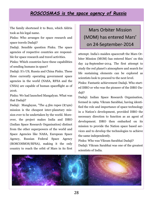## *ROSCOSMAS is the space agency of Russia*

The family shortened it to Buzz, which Aldrin took as his legal name.

Pinku: Who arranges for space research and space travels Dadaji?

Dadaji. Sensible question Pinku. The space agencies of respective countries are responsible for space research and travel activities.

Pinku: Which countries have these capabilities of sending humans in space?

Dadaji: It's US, Russia and China Pinku. These three currently operating government space agencies in the world (NASA, RFSA and the CNSA) are capable of human spaceflight as of 2016.

Pinku: We had launched Mangalyan. What was that Dadaji?

Dadaji: Manglayan, "The 4.5bn rupee (\$74m) mission is the cheapest inter-planetary mission ever to be undertaken by the world. Moreover, the project makes India and ISRO (Indian Space Research Organisation) distinct from the other superpowers of the world and Space Agencies like NASA, European Space Agency, Russian Federal Space Agency (ROSCOSMOS/RFSA), making it the only country to reach the orbit of Mars in its first

## Mars Orbiter Mission (MOM) has entered Mars' on 24-September-2014

attempt. India's maiden spacecraft the Mars Orbiter Mission (MOM) has entered Mars' on this day 24-September-2014. The first attempt to study the red planet's atmosphere and search for life sustaining elements can be explored as scientists look to proceed to the next level.

Pinku: Fantastic achievement Dadaji. Who started ISRO or who was the pioneer of the ISRO Dadaii?

Dadaji: Indian Space Research Organisation, formed in 1969. Vikram Sarabhai, having identified the role and importance of space technology in a Nation's development, provided ISRO the necessary direction to function as an agent of development. ISRO then embarked on its mission to provide the Nation space based services and to develop the technologies to achieve the same independently.

Pinku: Who was Vikram Sarabhai Dadaji? Dadaji: Vikram Sarabhai was one of the greatest scientists of India.

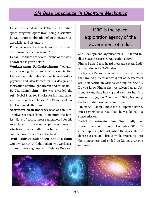## *SN Bose Specialize in Quantum Mechanics*

He is considered as the Father of the Indian space program. Apart from being a scientist, he was a rare combination of an innovator, industrialist and visionary.

Pinku: Who are the other famous Indians who are known for space research?

Dadaji: Oh there are several. Some of the wellknown are as given below:

**Venkatraman Radhakrishnan:** Venkataraman was a globally renowned space scientist. He was an internationally acclaimed Astrophysicist and also known for his design and fabrication of ultralight aircraft and sailboats.

**S. Chandrashekar:** He was awarded the 1983 Nobel Prize for Physics for his mathematical theory of black holes. The Chandrasekhar limit is named after him.

**Satyendra Nath Bose:** SN Bose was an Indian physicist specialising in quantum mechanics. He is of course most remembered for his role played in the class of particles 'bosons', which were named after him by Paul Dirac to commemorate his work in the field.

**Avul Pakir Jainulabdeen Abdul Kalam:**  Our own Shri APJ Abdul Kalam who worked as an Aerospace engineer with Defence Research

## ISRO is the space exploration agency of the Government of India.

and Development Organisation (DRDO) and Indian Space Research Organisation (ISRO). Pinku: Dadaji I also heard there are several Indians working with NASA also.

Dadaji: Yes Pinku... you will be surprised to note that around 36% or almost 4 out of 10 scientists are Indians/Indian Origins working for NASA… Do you know Pinku; she was selected as an Astronaut candidate in 1994 and went for her first mission in 1997 on Colombia STS-87, becoming the first Indian woman to go to space.

Pinku: Ah! Dadaji I know she is Kalpana Chawla. But I remember to read that she was killed in a space mission.

Dadaji: Unfortunate… Yes Pinku sadly, her second mission on-board Columbia STS 107 ended up being her last, when the space shuttle depressurised and broke while returning into the atmosphere and ended up killing everyone on board.

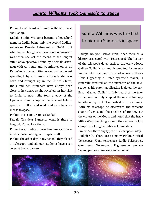#### *Sunita Williams took Samosa's to space*

Pinku: I also heard of Sunita Williams who is she Dadaji?

Dadaji: Sunita Williams became a household name in India, being only the second Indian-American Female Astronaut at NASA. But what helped her gain international recognition was when she set the record of the longest cumulative spacewalk time by a female astronaut with 50 hours and 40 minutes on seven Extra-Vehicular activities as well as the longest spaceflight by a woman. Although she was born and brought up in the United States, India and her influences have always been close to her heart as she revealed on her visit to India in 2013. She took a copy of the Upanishads and a copy of the Bhagvad Gita to space to reflect and read, and even took samosas to space!

Pinku: Ha Ha Ha… Samosa Dadaji.

Dadaji: Yes dear Samosa… what is there to laugh don't you love them.

Pinku: Sorry Dadaji… I was laughing as I imagined Samosa floating in the spacecraft.

Pinku: The other day in my school, they placed a Telescope and all our students have seen celestial body so close.

## Sunita Williams was the first to pick up Samosas in space

Dadaji: Do you Know Pinku that there is a history associated with Telescopes? The history of the telescope dates back to the early 1600s. Galileo Galilei is commonly credited for inventing the telescope, but this is not accurate. It was Hans Lipperhey, a Dutch spectacle maker, is generally credited as the inventor of the telescope, as his patent application is dated the earliest. Galileo Galilei in Italy heard of the telescope, and not only adapted the new technology to astronomy, but also pushed it to its limits. With his telescope he discovered the crescent shape of Venus and the satellites of Jupiter, saw the craters of the Moon, and noted that the fuzzy Milky Way stretching around the sky was in fact composed of huge numbers of faint stars.

Pinku: Are there any types of Telescopes Dadaji? Dadaji: Oh! There are so many Pinku…Optical Telescopes, X-ray telescopes, Radio Telescopes, Gamma-ray Telescopes, High-energy particle Telescopes are some well-known ones.

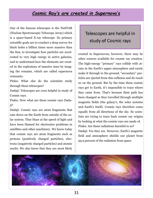### *Cosmic Ray's are created in Supernova's*

One of the famous telescopes is the NuSTAR (Nuclear Spectroscopic Telescope Array) which is a space-based X-ray telescope. Its primary scientific goals are to conduct a deep survey for black holes a billion times more massive than the Sun, to investigate how particles are accelerated to very high energy in active galaxies, and to understand how the elements are created in the explosions of massive stars by imaging the remains, which are called supernova remnants.

Pinku: What else do the scientists study through these telescopes?

Dadaji: Telescopes are even helpful in study of Cosmic rays.

Pinku: Now what are these cosmic rays Dadaji?

Dadaji: Cosmic rays are atom fragments that rain down on the Earth from outside of the solar system. They blaze at the speed of light and have been blamed for electronics problems in satellites and other machinery. We know today that cosmic rays are atom fragments such as protons (positively charged particles), electrons (negatively charged particles) and atomic nuclei. We also know that they are most likely

## Telescopes are helpful in study of Cosmic rays

created in Supernovas; however, there may be other sources available for cosmic ray creation. The high-energy "primary" rays collide with atoms in the Earth's upper atmosphere and rarely make it through to the ground, "secondary" particles are ejected from this collision and do reach us on the ground. But by the time these cosmic rays get to Earth, it's impossible to trace where they came from. That's because their path has been changed as they travelled through multiple magnetic fields (the galaxy's, the solar systems and Earth's itself). Cosmic rays therefore come equally from all directions of the sky. So scientists are trying to trace back cosmic ray origins by looking at what the cosmic rays are made of. Pinku: Are these radiations harmful to us? Dadaji: Yes they are. However, Earth's magnetic field and atmosphere shields our planet from 99.9 percent of the radiation from space.

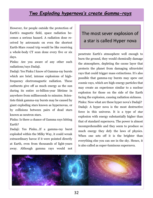## *Two Exploding hypernova's create Gamma-rays*

However, for people outside the protection of Earth's magnetic field, space radiation becomes a serious hazard. A radiation dose received by astronauts on even the shortest Earth-Mars round trip would be like receiving a whole-body CT scan done every five or six days.

Pinku: Are you aware of any other such radiations/rays Dadaji.

Dadaji: Yes Pinku I know of Gamma-ray bursts which are brief, intense explosions of highfrequency electromagnetic radiation. These outbursts give off as much energy as the sun during its entire 10-billion-year lifetime in anywhere from milliseconds to minutes. Scientists think gamma-ray bursts may be caused by giant exploding stars known as hypernovas, or by collisions between pairs of dead stars known as neutron stars.

Pinku: Is there a chance of Gamma rays hitting Earth?

Dadaji: Yes Pinku...If a gamma-ray burst exploded within the Milky Way, it could wreak extraordinary havoc if it were pointed directly at Earth, even from thousands of light-years away. Although gamma rays would not

## The most sever explosion of a star is called Hyper nova

penetrate Earth's atmosphere well enough to burn the ground, they would chemically damage the atmosphere, depleting the ozone layer that protects the planet from damaging ultraviolet rays that could trigger mass extinctions. It's also possible that gamma-ray bursts may spew out cosmic rays, which are high-energy particles that may create an experience similar to a nuclear explosion for those on the side of the Earth facing the explosion, causing radiation sickness. Pinku: Now what are these hyper nova's Dadaji? Dadaji: A hyper nova is the most destructive force in this universe. It is a type of star explosion with energy substantially higher than that of standard supernova. The power is almost incomprehensible and they seem to produce so much energy they defy the laws of physics. When one sets off it is the brighter than everything else you can see in the sky. Hence, it is also called as super-luminous supernova.

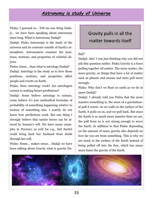#### *Astronomy is study of Universe*

Pinku: I guessed so… Tell me one thing Dadaji… we have been speaking about astronomy since long. What is Astronomy Dadaji? Dadaji: Pinku Astronomy is the study of the universe and its contents outside of Earth's atmosphere. Astronomers examine the positions, motions, and properties of celestial objects.

Pinku: hmm… than what is astrology Dadaji? Dadaji: Astrology is the study as to how those positions, motions, and properties affect people and events on Earth.

Pinku: Does Astrology work? Are astrologers correct in making future predictions?

Dadaji: Some believe astrology is science, some believe it's just methodical formulae of probability of something happening relative to motion of something else. I exactly do not know how predictions work. But one thing I strongly believe that nature forces can be altered by human's will. We have many examples in Purana's as well for e.g., Sati Savitri could bring back her husband from death through her will.

Pinku: Hmm… makes sense… Dadaji we have been talking about Gravity what is gravity Da-

## Gravity pulls in all the matter towards itself

#### daji?

Dadaji: Aha! I was just thinking why you did not ask this question earlier. Pinku Gravity is a force pulling together all matter. The more matter, the more gravity, so things that have a lot of matter such as planets and moons and stars pull more strongly.

Pinku: Why don't we float on earth as we do in space Dadaji?

Dadaji: I already told you Pinku that the more massive something is, the more of a gravitational pull it exerts. As we walk on the surface of the Earth, it pulls on us, and we pull back. But since the Earth is so much more massive than we are, the pull from us is not strong enough to move the Earth. In addition to that Pinku depending on the amount of mass, gravity also depends on how far you are from something. This is why we are stuck to the surface of the Earth instead of being pulled off into the Sun, which has many more times the gravity of the Earth.

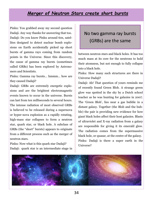#### *Merger of Neutron Stars create short bursts*

Pinku: You grabbed away my second question Dadaji. Any way thanks for answering that too. Dadaji: Do you know Pinku around 60s, satellites designed to detect nuclear bomb explosions on Earth accidentally picked up short bursts of gamma rays coming from random points in the Universe. Since this discovery, the cause of gamma ray bursts (sometimes called GRBs) has been explored by Astronomers and Scientists.

Pinku: Gamma ray bursts… hmmm… how are they caused Dadaji?

Dadaji: GRBs are extremely energetic explosions and are the brightest electromagnetic events known to occur in the universe. Bursts can last from ten milliseconds to several hours. The intense radiation of most observed GRBs is believed to be released during a supernova or hyper-nova explosion as a rapidly rotating, high-mass star collapses to form a neutron star, quark star, or black hole. A subclass of GRBs (the "short" bursts) appears to originate from a different process such as the merger of neutron stars.

Pinku: Now what is this quark star Dadaji? Dadaji: quark star is an intermediate stage in

## No two gamma ray bursts (GRBs) are the same

between neutron stars and black holes. It has too much mass at its core for the neutrons to hold their atomness, but not enough to fully collapse into a black hole.

Pinku: How many such structures are there in Universe Dadaji?

Dadaji: Ah! That question of yours reminds me of recently found Green Blob. A strange green glow was spotted in the sky by a Dutch school teacher as he was hunting for galaxies in 2007. The 'Green Blob', lies near a gas bubble in a distant galaxy. Together (the Blob and the bubble) the pair is providing new evidence for how giant black holes affect their host galaxies. Blasts of ultraviolet and X-ray radiation from a galaxy are responsible for giving it its emerald glow. The radiation comes from the supermassive black hole, or quasar, at the centre of the galaxy. Pinku: Dadaji is there a super earth in the Universe?